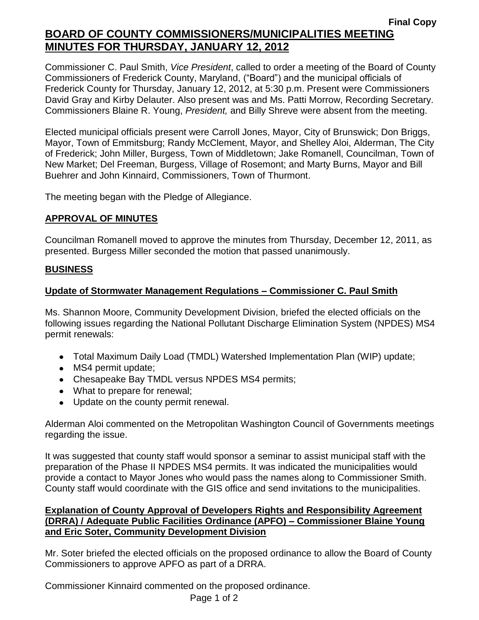## **Final Copy BOARD OF COUNTY COMMISSIONERS/MUNICIPALITIES MEETING MINUTES FOR THURSDAY, JANUARY 12, 2012**

Commissioner C. Paul Smith, *Vice President*, called to order a meeting of the Board of County Commissioners of Frederick County, Maryland, ("Board") and the municipal officials of Frederick County for Thursday, January 12, 2012, at 5:30 p.m. Present were Commissioners David Gray and Kirby Delauter. Also present was and Ms. Patti Morrow, Recording Secretary. Commissioners Blaine R. Young, *President,* and Billy Shreve were absent from the meeting.

Elected municipal officials present were Carroll Jones, Mayor, City of Brunswick; Don Briggs, Mayor, Town of Emmitsburg; Randy McClement, Mayor, and Shelley Aloi, Alderman, The City of Frederick; John Miller, Burgess, Town of Middletown; Jake Romanell, Councilman, Town of New Market; Del Freeman, Burgess, Village of Rosemont; and Marty Burns, Mayor and Bill Buehrer and John Kinnaird, Commissioners, Town of Thurmont.

The meeting began with the Pledge of Allegiance.

## **APPROVAL OF MINUTES**

Councilman Romanell moved to approve the minutes from Thursday, December 12, 2011, as presented. Burgess Miller seconded the motion that passed unanimously.

#### **BUSINESS**

## **Update of Stormwater Management Regulations – Commissioner C. Paul Smith**

Ms. Shannon Moore, Community Development Division, briefed the elected officials on the following issues regarding the National Pollutant Discharge Elimination System (NPDES) MS4 permit renewals:

- Total Maximum Daily Load (TMDL) Watershed Implementation Plan (WIP) update;
- MS4 permit update;
- Chesapeake Bay TMDL versus NPDES MS4 permits;
- What to prepare for renewal;
- Update on the county permit renewal.

Alderman Aloi commented on the Metropolitan Washington Council of Governments meetings regarding the issue.

It was suggested that county staff would sponsor a seminar to assist municipal staff with the preparation of the Phase II NPDES MS4 permits. It was indicated the municipalities would provide a contact to Mayor Jones who would pass the names along to Commissioner Smith. County staff would coordinate with the GIS office and send invitations to the municipalities.

#### **Explanation of County Approval of Developers Rights and Responsibility Agreement (DRRA) / Adequate Public Facilities Ordinance (APFO) – Commissioner Blaine Young and Eric Soter, Community Development Division**

Mr. Soter briefed the elected officials on the proposed ordinance to allow the Board of County Commissioners to approve APFO as part of a DRRA.

Commissioner Kinnaird commented on the proposed ordinance.